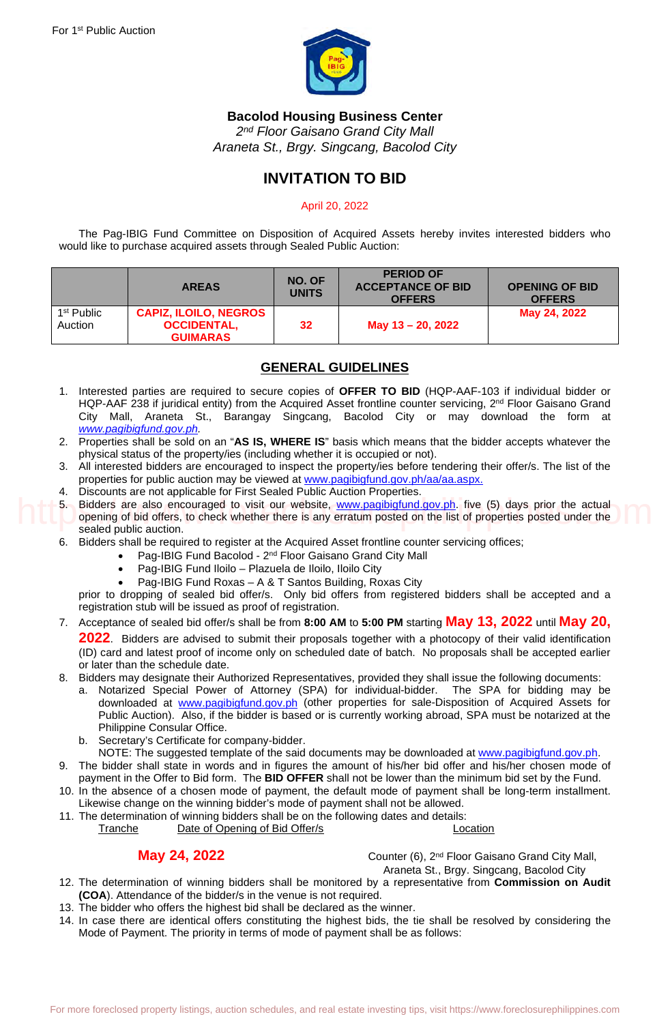

**Bacolod Housing Business Center**

*2nd Floor Gaisano Grand City Mall Araneta St., Brgy. Singcang, Bacolod City*

# **INVITATION TO BID**

## April 20, 2022

The Pag-IBIG Fund Committee on Disposition of Acquired Assets hereby invites interested bidders who would like to purchase acquired assets through Sealed Public Auction:

|                                   | <b>AREAS</b>                                                          | NO. OF<br><b>UNITS</b> | <b>PERIOD OF</b><br><b>ACCEPTANCE OF BID</b><br><b>OFFERS</b> | <b>OPENING OF BID</b><br><b>OFFERS</b> |
|-----------------------------------|-----------------------------------------------------------------------|------------------------|---------------------------------------------------------------|----------------------------------------|
| 1 <sup>st</sup> Public<br>Auction | <b>CAPIZ, ILOILO, NEGROS</b><br><b>OCCIDENTAL,</b><br><b>GUIMARAS</b> | 32                     | May 13 - 20, 2022                                             | May 24, 2022                           |

# **GENERAL GUIDELINES**

- 1. Interested parties are required to secure copies of **OFFER TO BID** (HQP-AAF-103 if individual bidder or HQP-AAF 238 if juridical entity) from the Acquired Asset frontline counter servicing, 2<sup>nd</sup> Floor Gaisano Grand City Mall, Araneta St., Barangay Singcang, Bacolod City or may download the form at *[www.pagibigfund.gov.ph.](http://www.pagibigfund.gov.ph/)*
- 2. Properties shall be sold on an "**AS IS, WHERE IS**" basis which means that the bidder accepts whatever the physical status of the property/ies (including whether it is occupied or not).
- 3. All interested bidders are encouraged to inspect the property/ies before tendering their offer/s. The list of the properties for public auction may be viewed at [www.pagibigfund.gov.ph/aa/aa.aspx.](http://www.pagibigfund.gov.ph/aa/aa.aspx.)
- 4. Discounts are not applicable for First Sealed Public Auction Properties.
- 5. Bidders are also encouraged to visit our website, www.pagibigfund.gov.ph. five (5) days prior the actual opening of bid offers, to check whether there is any erratum posted on the list of properties posted under the sealed public auction.
- 6. Bidders shall be required to register at the Acquired Asset frontline counter servicing offices;
	- Pag-IBIG Fund Bacolod 2<sup>nd</sup> Floor Gaisano Grand City Mall
	- Pag-IBIG Fund Iloilo Plazuela de Iloilo, Iloilo City
	- Pag-IBIG Fund Roxas A & T Santos Building, Roxas City

prior to dropping of sealed bid offer/s. Only bid offers from registered bidders shall be accepted and a registration stub will be issued as proof of registration.

7. Acceptance of sealed bid offer/s shall be from **8:00 AM** to **5:00 PM** starting **May 13, 2022** until **May 20, 2022**. Bidders are advised to submit their proposals together with a photocopy of their valid identification (ID) card and latest proof of income only on scheduled date of batch. No proposals shall be accepted earlier or later than the schedule date. For more also encorringed to visit our webstar, www.paginglund.gov.ph. for 6. Bidden sing properties and properties properties and the content of the neal estate investing to the schedules. The properties and the foreclose

8. Bidders may designate their Authorized Representatives, provided they shall issue the following documents:

- a. Notarized Special Power of Attorney (SPA) for individual-bidder. The SPA for bidding may be downloaded at [www.pagibigfund.gov.ph](http://www.pagibigfund.gov.ph/) (other properties for sale-Disposition of Acquired Assets for Public Auction). Also, if the bidder is based or is currently working abroad, SPA must be notarized at the Philippine Consular Office.
- b. Secretary's Certificate for company-bidder.
	- NOTE: The suggested template of the said documents may be downloaded at [www.pagibigfund.gov.ph.](http://www.pagibigfund.gov.ph/)
- 9. The bidder shall state in words and in figures the amount of his/her bid offer and his/her chosen mode of payment in the Offer to Bid form. The **BID OFFER** shall not be lower than the minimum bid set by the Fund.
- 10. In the absence of a chosen mode of payment, the default mode of payment shall be long-term installment. Likewise change on the winning bidder's mode of payment shall not be allowed.
- 11. The determination of winning bidders shall be on the following dates and details: Tranche Date of Opening of Bid Offer/s Tranche Location

May 24, 2022 **May 24, 2022** Counter (6), 2<sup>nd</sup> Floor Gaisano Grand City Mall, Araneta St., Brgy. Singcang, Bacolod City

- 12. The determination of winning bidders shall be monitored by a representative from **Commission on Audit (COA**). Attendance of the bidder/s in the venue is not required.
- 13. The bidder who offers the highest bid shall be declared as the winner.
- 14. In case there are identical offers constituting the highest bids, the tie shall be resolved by considering the Mode of Payment. The priority in terms of mode of payment shall be as follows: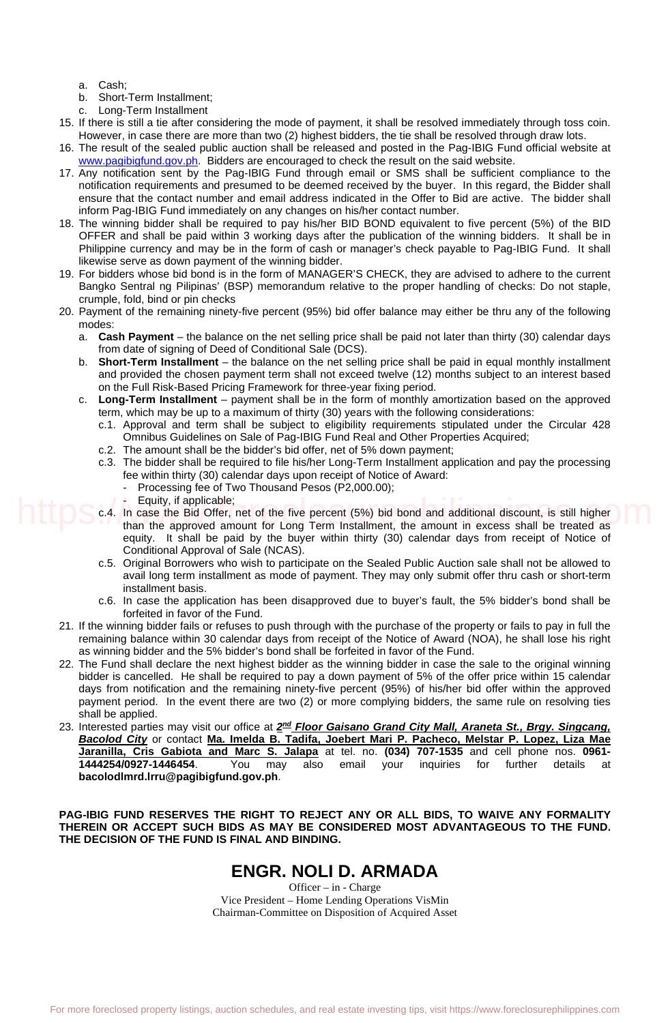- a. Cash;
- b. Short-Term Installment;
- c. Long-Term Installment
- 15. If there is still a tie after considering the mode of payment, it shall be resolved immediately through toss coin. However, in case there are more than two (2) highest bidders, the tie shall be resolved through draw lots.
- 16. The result of the sealed public auction shall be released and posted in the Pag-IBIG Fund official website at [www.pagibigfund.gov.ph.](http://www.pagibigfund.gov.ph/) Bidders are encouraged to check the result on the said website.
- 17. Any notification sent by the Pag-IBIG Fund through email or SMS shall be sufficient compliance to the notification requirements and presumed to be deemed received by the buyer. In this regard, the Bidder shall ensure that the contact number and email address indicated in the Offer to Bid are active. The bidder shall inform Pag-IBIG Fund immediately on any changes on his/her contact number.
- 18. The winning bidder shall be required to pay his/her BID BOND equivalent to five percent (5%) of the BID OFFER and shall be paid within 3 working days after the publication of the winning bidders. It shall be in Philippine currency and may be in the form of cash or manager's check payable to Pag-IBIG Fund. It shall likewise serve as down payment of the winning bidder.
- 19. For bidders whose bid bond is in the form of MANAGER'S CHECK, they are advised to adhere to the current Bangko Sentral ng Pilipinas' (BSP) memorandum relative to the proper handling of checks: Do not staple, crumple, fold, bind or pin checks
- 20. Payment of the remaining ninety-five percent (95%) bid offer balance may either be thru any of the following modes:
	- a. **Cash Payment** the balance on the net selling price shall be paid not later than thirty (30) calendar days from date of signing of Deed of Conditional Sale (DCS).
	- b. **Short-Term Installment** the balance on the net selling price shall be paid in equal monthly installment and provided the chosen payment term shall not exceed twelve (12) months subject to an interest based on the Full Risk-Based Pricing Framework for three-year fixing period.
	- c. **Long-Term Installment**  payment shall be in the form of monthly amortization based on the approved term, which may be up to a maximum of thirty (30) years with the following considerations:
		- c.1. Approval and term shall be subject to eligibility requirements stipulated under the Circular 428 Omnibus Guidelines on Sale of Pag-IBIG Fund Real and Other Properties Acquired;
		- c.2. The amount shall be the bidder's bid offer, net of 5% down payment;
		- c.3. The bidder shall be required to file his/her Long-Term Installment application and pay the processing fee within thirty (30) calendar days upon receipt of Notice of Award:
			- Processing fee of Two Thousand Pesos (P2,000.00);
			- $\pm$  Equity, if applicable;
		- c.4. In case the Bid Offer, net of the five percent (5%) bid bond and additional discount, is still higher than the approved amount for Long Term Installment, the amount in excess shall be treated as equity. It shall be paid by the buyer within thirty (30) calendar days from receipt of Notice of Conditional Approval of Sale (NCAS).
		- c.5. Original Borrowers who wish to participate on the Sealed Public Auction sale shall not be allowed to avail long term installment as mode of payment. They may only submit offer thru cash or short-term installment basis.
		- c.6. In case the application has been disapproved due to buyer's fault, the 5% bidder's bond shall be forfeited in favor of the Fund.
- 21. If the winning bidder fails or refuses to push through with the purchase of the property or fails to pay in full the remaining balance within 30 calendar days from receipt of the Notice of Award (NOA), he shall lose his right as winning bidder and the 5% bidder's bond shall be forfeited in favor of the Fund.
- 22. The Fund shall declare the next highest bidder as the winning bidder in case the sale to the original winning bidder is cancelled. He shall be required to pay a down payment of 5% of the offer price within 15 calendar days from notification and the remaining ninety-five percent (95%) of his/her bid offer within the approved payment period. In the event there are two (2) or more complying bidders, the same rule on resolving ties shall be applied.
- 23. Interested parties may visit our office at *2nd Floor Gaisano Grand City Mall, Araneta St., Brgy. Singcang, Bacolod City* or contact **Ma. Imelda B. Tadifa, Joebert Mari P. Pacheco, Melstar P. Lopez, Liza Mae Jaranilla, Cris Gabiota and Marc S. Jalapa** at tel. no. **(034) 707-1535** and cell phone nos. **0961- 1444254/0927-1446454.** You may **bacolodlmrd.lrru@pagibigfund.gov.ph**. **For Foreclose Control of the five person (5%)** bid bord and additional discount, is still higher<br>
real that but pusit to this big more form interesting the amount in excess state the shall be considered by the more forec

**PAG-IBIG FUND RESERVES THE RIGHT TO REJECT ANY OR ALL BIDS, TO WAIVE ANY FORMALITY THEREIN OR ACCEPT SUCH BIDS AS MAY BE CONSIDERED MOST ADVANTAGEOUS TO THE FUND. THE DECISION OF THE FUND IS FINAL AND BINDING.** 

# **ENGR. NOLI D. ARMADA**

Officer – in - Charge Vice President – Home Lending Operations VisMin Chairman-Committee on Disposition of Acquired Asset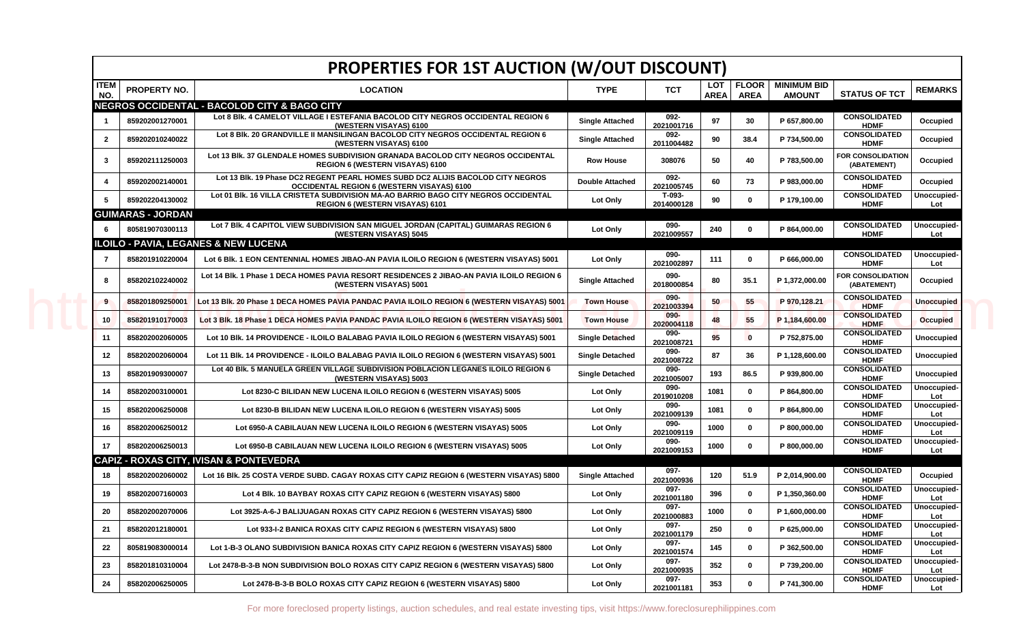| <b>ITEM</b><br>NO. | PROPERTY NO.             | <b>LOCATION</b>                                                                                                                      | <b>TYPE</b>            | <b>TCT</b>                 | LOT<br><b>AREA</b> | <b>FLOOR</b><br><b>AREA</b> | <b>MINIMUM BID</b><br><b>AMOUNT</b> | <b>STATUS OF TCT</b>                                      | <b>REMARKS</b>                    |
|--------------------|--------------------------|--------------------------------------------------------------------------------------------------------------------------------------|------------------------|----------------------------|--------------------|-----------------------------|-------------------------------------|-----------------------------------------------------------|-----------------------------------|
|                    |                          | <b>NEGROS OCCIDENTAL - BACOLOD CITY &amp; BAGO CITY</b>                                                                              |                        |                            |                    |                             |                                     |                                                           |                                   |
|                    | 859202001270001          | Lot 8 Blk. 4 CAMELOT VILLAGE I ESTEFANIA BACOLOD CITY NEGROS OCCIDENTAL REGION 6<br>(WESTERN VISAYAS) 6100                           | <b>Single Attached</b> | 092-<br>2021001716         | 97                 | 30                          | P 657,800.00                        | <b>CONSOLIDATED</b><br><b>HDMF</b>                        | Occupied                          |
| $\overline{2}$     | 859202010240022          | Lot 8 Blk. 20 GRANDVILLE II MANSILINGAN BACOLOD CITY NEGROS OCCIDENTAL REGION 6<br>(WESTERN VISAYAS) 6100                            | <b>Single Attached</b> | 092-<br>2011004482         | 90                 | 38.4                        | P 734,500.00                        | <b>CONSOLIDATED</b><br><b>HDMF</b>                        | Occupied                          |
| 3                  | 859202111250003          | Lot 13 Blk. 37 GLENDALE HOMES SUBDIVISION GRANADA BACOLOD CITY NEGROS OCCIDENTAL<br><b>REGION 6 (WESTERN VISAYAS) 6100</b>           | <b>Row House</b>       | 308076                     | 50                 | 40                          | P 783,500.00                        | <b>FOR CONSOLIDATION</b><br>(ABATEMENT)                   | Occupied                          |
| 4                  | 859202002140001          | Lot 13 Blk. 19 Phase DC2 REGENT PEARL HOMES SUBD DC2 ALIJIS BACOLOD CITY NEGROS<br><b>OCCIDENTAL REGION 6 (WESTERN VISAYAS) 6100</b> | <b>Double Attached</b> | 092-<br>2021005745         | 60                 | 73                          | P 983,000.00                        | <b>CONSOLIDATED</b><br><b>HDMF</b>                        | Occupied                          |
| 5                  | 859202204130002          | Lot 01 Blk. 16 VILLA CRISTETA SUBDIVISION MA-AO BARRIO BAGO CITY NEGROS OCCIDENTAL<br>REGION 6 (WESTERN VISAYAS) 6101                | Lot Only               | T-093-<br>2014000128       | 90                 | $\Omega$                    | P 179,100.00                        | <b>CONSOLIDATED</b><br><b>HDMF</b>                        | Unoccupied-<br>Lot                |
|                    | <b>GUIMARAS - JORDAN</b> |                                                                                                                                      |                        |                            |                    |                             |                                     |                                                           |                                   |
|                    | 805819070300113          | Lot 7 Blk. 4 CAPITOL VIEW SUBDIVISION SAN MIGUEL JORDAN (CAPITAL) GUIMARAS REGION 6<br>(WESTERN VISAYAS) 5045                        | Lot Only               | -090<br>2021009557         | 240                | 0                           | P 864,000.00                        | <b>CONSOLIDATED</b><br><b>HDMF</b>                        | Unoccupied-<br>Lot                |
|                    |                          | ILOILO - PAVIA, LEGANES & NEW LUCENA                                                                                                 |                        |                            |                    |                             |                                     |                                                           |                                   |
|                    | 858201910220004          | Lot 6 Blk, 1 EON CENTENNIAL HOMES JIBAO-AN PAVIA ILOILO REGION 6 (WESTERN VISAYAS) 5001                                              | Lot Only               | 090-<br>2021002897         | 111                | $\Omega$                    | P 666,000.00                        | <b>CONSOLIDATED</b><br><b>HDMF</b>                        | Unoccupied-<br>Lot                |
| 8                  | 858202102240002          | Lot 14 Blk. 1 Phase 1 DECA HOMES PAVIA RESORT RESIDENCES 2 JIBAO-AN PAVIA ILOILO REGION 6<br>(WESTERN VISAYAS) 5001                  | <b>Single Attached</b> | 090-<br>2018000854         | 80                 | 35.1                        | P 1,372,000.00                      | <b>FOR CONSOLIDATION</b><br>(ABATEMENT)                   | Occupied                          |
| 9                  | 858201809250001          | Lot 13 Blk. 20 Phase 1 DECA HOMES PAVIA PANDAC PAVIA ILOILO REGION 6 (WESTERN VISAYAS) 5001                                          | <b>Town House</b>      | $090 -$<br>2021003394      | 50                 | 55                          | P 970,128.21                        | <b>CONSOLIDATED</b><br><b>HDMF</b>                        | <b>Unoccupied</b>                 |
| 10                 | 858201910170003          | Lot 3 Blk. 18 Phase 1 DECA HOMES PAVIA PANDAC PAVIA ILOILO REGION 6 (WESTERN VISAYAS) 5001                                           | <b>Town House</b>      | 090-<br>2020004118         | 48                 | 55                          | P 1,184,600.00                      | <b>CONSOLIDATED</b><br><b>HDMF</b>                        | <b>Occupied</b>                   |
| 11                 | 858202002060005          | Lot 10 Blk. 14 PROVIDENCE - ILOILO BALABAG PAVIA ILOILO REGION 6 (WESTERN VISAYAS) 5001                                              | <b>Single Detached</b> | 090-<br>2021008721         | 95                 | $\mathbf{0}$                | P 752,875.00                        | <b>CONSOLIDATED</b><br><b>HDMF</b>                        | <b>Unoccupied</b>                 |
| 12                 | 858202002060004          | Lot 11 Blk. 14 PROVIDENCE - ILOILO BALABAG PAVIA ILOILO REGION 6 (WESTERN VISAYAS) 5001                                              | <b>Single Detached</b> | 090-<br>2021008722         | 87                 | 36                          | P 1,128,600.00                      | <b>CONSOLIDATED</b><br><b>HDMF</b>                        | <b>Unoccupied</b>                 |
| 13                 | 858201909300007          | Lot 40 Blk. 5 MANUELA GREEN VILLAGE SUBDIVISION POBLACION LEGANES ILOILO REGION 6<br>(WESTERN VISAYAS) 5003                          | <b>Single Detached</b> | 090-<br>2021005007         | 193                | 86.5                        | P 939,800.00                        | <b>CONSOLIDATED</b><br><b>HDMF</b>                        | <b>Unoccupied</b>                 |
| -14                | 858202003100001          | Lot 8230-C BILIDAN NEW LUCENA ILOILO REGION 6 (WESTERN VISAYAS) 5005                                                                 | Lot Only               | 090-<br>2019010208         | 1081               | $\Omega$                    | P 864,800.00                        | <b>CONSOLIDATED</b><br><b>HDMF</b>                        | Unoccupied-<br>Lot                |
| 15                 | 858202006250008          | Lot 8230-B BILIDAN NEW LUCENA ILOILO REGION 6 (WESTERN VISAYAS) 5005                                                                 | Lot Only               | 090-<br>2021009139<br>090- | 1081               | $\Omega$                    | P 864,800.00                        | <b>CONSOLIDATED</b><br><b>HDMF</b><br><b>CONSOLIDATED</b> | Unoccupied-<br>Lot<br>Unoccupied- |
| 16                 | 858202006250012          | Lot 6950-A CABILAUAN NEW LUCENA ILOILO REGION 6 (WESTERN VISAYAS) 5005                                                               | Lot Only               | 2021009119<br>090-         | 1000               | $\Omega$                    | P 800,000.00                        | <b>HDMF</b><br><b>CONSOLIDATED</b>                        | Lot<br>Unoccupied-                |
| -17                | 858202006250013          | Lot 6950-B CABILAUAN NEW LUCENA ILOILO REGION 6 (WESTERN VISAYAS) 5005                                                               | Lot Only               | 2021009153                 | 1000               | $\Omega$                    | P 800,000.00                        | <b>HDMF</b>                                               | Lot                               |
|                    |                          | <b>CAPIZ - ROXAS CITY, IVISAN &amp; PONTEVEDRA</b>                                                                                   |                        |                            |                    |                             |                                     |                                                           |                                   |
| 18                 | 858202002060002          | Lot 16 Blk. 25 COSTA VERDE SUBD. CAGAY ROXAS CITY CAPIZ REGION 6 (WESTERN VISAYAS) 5800                                              | <b>Single Attached</b> | 097-<br>2021000936<br>097- | 120                | 51.9                        | P 2,014,900.00                      | <b>CONSOLIDATED</b><br><b>HDMF</b><br><b>CONSOLIDATED</b> | Occupied<br>Unoccupied-           |
| 19                 | 858202007160003          | Lot 4 Blk. 10 BAYBAY ROXAS CITY CAPIZ REGION 6 (WESTERN VISAYAS) 5800                                                                | Lot Only               | 2021001180<br>097-         | 396                | $\Omega$                    | P 1,350,360.00                      | <b>HDMF</b><br><b>CONSOLIDATED</b>                        | Lot<br>Unoccupied-                |
| 20                 | 858202002070006          | Lot 3925-A-6-J BALIJUAGAN ROXAS CITY CAPIZ REGION 6 (WESTERN VISAYAS) 5800                                                           | Lot Only               | 2021000883                 | 1000               |                             | P 1,600,000.00                      | <b>HDMF</b>                                               | Lot                               |
| 21                 | 858202012180001          | Lot 933-I-2 BANICA ROXAS CITY CAPIZ REGION 6 (WESTERN VISAYAS) 5800                                                                  | Lot Only               | 097-<br>2021001179         | 250                | 0                           | P 625,000.00                        | <b>CONSOLIDATED</b><br><b>HDMF</b>                        | Unoccupied-<br>Lot                |
| 22                 | 805819083000014          | Lot 1-B-3 OLANO SUBDIVISION BANICA ROXAS CITY CAPIZ REGION 6 (WESTERN VISAYAS) 5800                                                  | Lot Only               | 097-<br>2021001574<br>097- | 145                | 0                           | P 362,500.00                        | <b>CONSOLIDATED</b><br><b>HDMF</b><br><b>CONSOLIDATED</b> | Unoccupied-<br>Lot                |
| 23                 | 858201810310004          | Lot 2478-B-3-B NON SUBDIVISION BOLO ROXAS CITY CAPIZ REGION 6 (WESTERN VISAYAS) 5800                                                 | Lot Only               | 2021000935                 | 352                | 0                           | P 739,200.00                        | <b>HDMF</b>                                               | Unoccupied-<br>Lot                |
| 24                 | 858202006250005          | Lot 2478-B-3-B BOLO ROXAS CITY CAPIZ REGION 6 (WESTERN VISAYAS) 5800                                                                 | Lot Only               | 097-<br>2021001181         | 353                | 0                           | P 741,300.00                        | <b>CONSOLIDATED</b><br><b>HDMF</b>                        | Unoccupied-<br>Lot                |